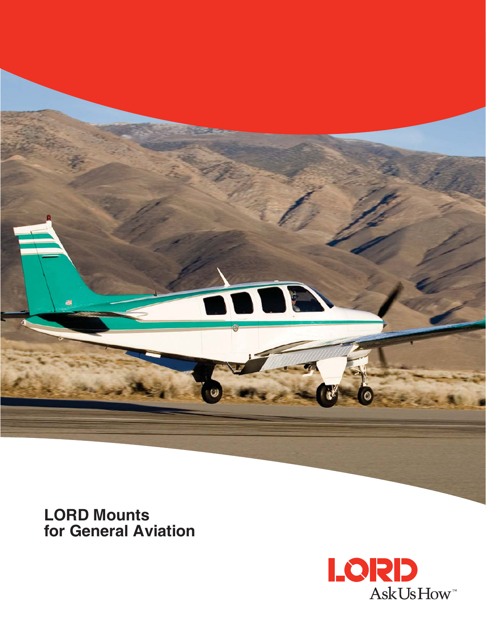

**LORD Mounts for General Aviation**

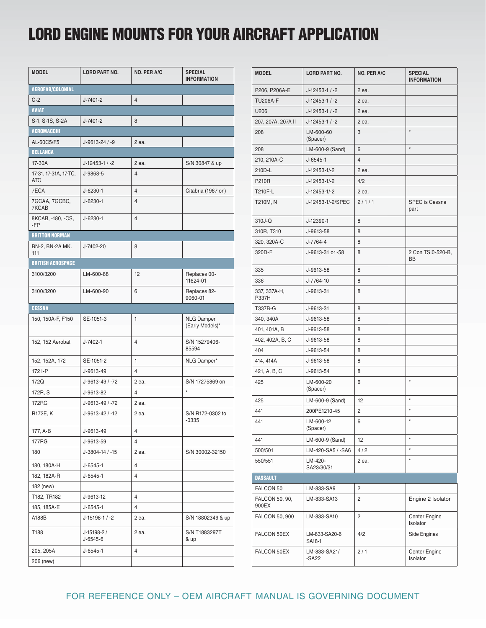# **LORD ENGINE MOUNTS FOR YOUR AIRCRAFT APPLICATION**

| <b>MODEL</b>                        | <b>LORD PART NO.</b>    | NO. PER A/C    | <b>SPECIAL</b><br><b>INFORMATION</b> |  |  |
|-------------------------------------|-------------------------|----------------|--------------------------------------|--|--|
| AEROFAB/COLONIAL                    |                         |                |                                      |  |  |
| $C-2$                               | J-7401-2                | $\overline{4}$ |                                      |  |  |
| <b>AVIAT</b>                        |                         |                |                                      |  |  |
| S-1, S-1S, S-2A                     | J-7401-2                | 8              |                                      |  |  |
| <b>AEROMACCHI</b>                   |                         |                |                                      |  |  |
| AL-60C5/F5                          | J-9613-24 / -9          | 2 ea.          |                                      |  |  |
| <b>BELLANCA</b>                     |                         |                |                                      |  |  |
| 17-30A                              | $J-12453-1/ -2$         | 2 ea.          | S/N 30847 & up                       |  |  |
| 17-31, 17-31A, 17-TC,<br><b>ATC</b> | J-9868-5                | $\overline{4}$ |                                      |  |  |
| 7ECA                                | $J - 6230 - 1$          | $\overline{4}$ | Citabria (1967 on)                   |  |  |
| 7GCAA, 7GCBC,<br>7KCAB              | $J - 6230 - 1$          | $\overline{4}$ |                                      |  |  |
| 8KCAB, -180, -CS,<br>-FP            | $J - 6230 - 1$          | $\overline{4}$ |                                      |  |  |
| <b>BRITTON NORMAN</b>               |                         |                |                                      |  |  |
| BN-2, BN-2A MK.<br>111              | J-7402-20               | 8              |                                      |  |  |
| <b>BRITISH AEROSPACE</b>            |                         |                |                                      |  |  |
| 3100/3200                           | LM-600-88               | 12             | Replaces 00-<br>11624-01             |  |  |
| 3100/3200                           | LM-600-90               | 6              | Replaces 82-<br>9060-01              |  |  |
| <b>CESSNA</b>                       |                         |                |                                      |  |  |
| 150, 150A-F, F150                   | SE-1051-3               | 1              | <b>NLG Damper</b><br>(Early Models)* |  |  |
| 152, 152 Aerobat                    | J-7402-1                | 4              | S/N 15279406-<br>85594               |  |  |
| 152, 152A, 172                      | SE-1051-2               | 1              | NLG Damper*                          |  |  |
| 172 I-P                             | J-9613-49               | $\overline{4}$ |                                      |  |  |
| 172Q                                | J-9613-49 / -72         | 2 ea.          | S/N 17275869 on                      |  |  |
| 172R, S                             | J-9613-82               | $\overline{4}$ | $\star$                              |  |  |
| 172RG                               | J-9613-49 / -72         | 2 ea.          |                                      |  |  |
| R172E, K                            | J-9613-42 / -12         | 2 ea.          | S/N R172-0302 to<br>-0335            |  |  |
| 177, A-B                            | J-9613-49               | 4              |                                      |  |  |
| 177RG                               | J-9613-59               | $\overline{4}$ |                                      |  |  |
| 180                                 | J-3804-14 / -15         | 2 ea.          | S/N 30002-32150                      |  |  |
| 180, 180A-H                         | J-6545-1                | $\overline{4}$ |                                      |  |  |
| 182, 182A-R                         | J-6545-1                | 4              |                                      |  |  |
| 182 (new)                           |                         |                |                                      |  |  |
| T182, TR182                         | J-9613-12               | 4              |                                      |  |  |
| 185, 185A-E                         | $J - 6545 - 1$          | $\overline{4}$ |                                      |  |  |
| A188B                               | J-15198-1 / -2          | 2 ea.          | S/N 18802349 & up                    |  |  |
| T188                                | J-15198-2 /<br>J-6545-6 | 2 ea.          | S/N T1883297T<br>& up                |  |  |
| 205, 205A                           | $J - 6545 - 1$          | $\overline{4}$ |                                      |  |  |
| 206 (new)                           |                         |                |                                      |  |  |

| <b>MODEL</b>            | <b>LORD PART NO.</b>    | NO. PER A/C    | <b>SPECIAL</b><br><b>INFORMATION</b> |
|-------------------------|-------------------------|----------------|--------------------------------------|
| P206, P206A-E           | $J-12453-1/ -2$         | 2 ea.          |                                      |
| <b>TU206A-F</b>         | $J-12453-1/ -2$         | 2 ea.          |                                      |
| U206                    | $J-12453-1/ -2$         | 2 ea.          |                                      |
| 207, 207A, 207A II      | $J-12453-1/ -2$         | 2 ea.          |                                      |
| 208                     | LM-600-60<br>(Spacer)   | 3              | $\star$                              |
| 208                     | LM-600-9 (Sand)         | 6              | $\star$                              |
| 210, 210A-C             | $J - 6545 - 1$          | $\overline{4}$ |                                      |
| 210D-L                  | J-12453-1/-2            | 2 ea.          |                                      |
| P210R                   | J-12453-1/-2            | 4/2            |                                      |
| T210F-L                 | J-12453-1/-2            | 2 ea.          |                                      |
| T210M, N                | J-12453-1/-2/SPEC       | 2/1/1          | SPEC is Cessna<br>part               |
| 310J-Q                  | J-12390-1               | 8              |                                      |
| 310R, T310              | J-9613-58               | 8              |                                      |
| 320, 320A-C             | J-7764-4                | 8              |                                      |
| 320D-F                  | J-9613-31 or -58        | 8              | 2 Con TSI0-520-B,<br>BB              |
| 335                     | J-9613-58               | 8              |                                      |
| 336                     | J-7764-10               | 8              |                                      |
| 337, 337A-H,<br>P337H   | J-9613-31               | 8              |                                      |
| T337B-G                 | J-9613-31               | 8              |                                      |
| 340, 340A               | J-9613-58               | 8              |                                      |
| 401, 401A, B            | J-9613-58               | 8              |                                      |
| 402, 402A, B, C         | J-9613-58               | 8              |                                      |
| 404                     | J-9613-54               | 8              |                                      |
| 414, 414A               | J-9613-58               | 8              |                                      |
| 421, A, B, C            | J-9613-54               | 8              |                                      |
| 425                     | LM-600-20<br>(Spacer)   | 6              | $\star$                              |
| 425                     | LM-600-9 (Sand)         | 12             | $\star$                              |
| 441                     | 200PE1210-45            | 2              | $\star$                              |
| 441                     | LM-600-12<br>(Spacer)   | 6              | $\star$                              |
| 441                     | LM-600-9 (Sand)         | 12             | $\star$                              |
| 500/501                 | LM-420-SA5 / -SA6       | 4/2            | $\star$                              |
| 550/551                 | LM-420-<br>SA23/30/31   | 2 ea.          | $\star$                              |
| <b>DASSAULT</b>         |                         |                |                                      |
| FALCON 50               | LM-833-SA9              | 2              |                                      |
| FALCON 50, 90,<br>900EX | LM-833-SA13             | 2              | Engine 2 Isolator                    |
| <b>FALCON 50, 900</b>   | LM-833-SA10             | 2              | Center Engine<br>Isolator            |
| FALCON 50EX             | LM-833-SA20-6<br>SA18-1 | 4/2            | Side Engines                         |
| FALCON 50EX             | LM-833-SA21/<br>-SA22   | 2/1            | Center Engine<br>Isolator            |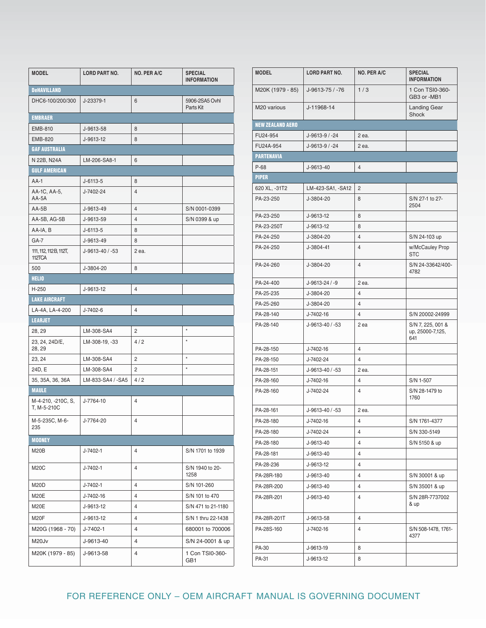| <b>MODEL</b>                      | <b>LORD PART NO.</b> | <b>NO. PER A/C</b> | <b>SPECIAL</b><br><b>INFORMATION</b> |  |
|-----------------------------------|----------------------|--------------------|--------------------------------------|--|
| <b>DeHAVILLAND</b>                |                      |                    |                                      |  |
| DHC6-100/200/300                  | J-23379-1            | 6                  | 5906-2SA5 Ovhl<br>Parts Kit          |  |
| <b>EMBRAER</b>                    |                      |                    |                                      |  |
| EMB-810                           | J-9613-58            | 8                  |                                      |  |
| <b>EMB-820</b>                    | J-9613-12            | 8                  |                                      |  |
| <b>GAF AUSTRALIA</b>              |                      |                    |                                      |  |
| N 22B, N24A                       | LM-206-SA8-1         | 6                  |                                      |  |
| <b>GULF AMERICAN</b>              |                      |                    |                                      |  |
| $AA-1$                            | $J - 6113 - 5$       | 8                  |                                      |  |
| AA-1C, AA-5,<br>AA-5A             | J-7402-24            | 4                  |                                      |  |
| $AA-5B$                           | J-9613-49            | 4                  | S/N 0001-0399                        |  |
| AA-5B, AG-5B                      | J-9613-59            | 4                  | S/N 0399 & up                        |  |
| AA-IA, B                          | $J - 6113 - 5$       | 8                  |                                      |  |
| $GA-7$                            | J-9613-49            | 8                  |                                      |  |
| 111, 112, 112 B, 112T,<br>112TCA  | J-9613-40 / -53      | 2 ea.              |                                      |  |
| 500                               | J-3804-20            | 8                  |                                      |  |
| <b>HELIO</b>                      |                      |                    |                                      |  |
| H-250                             | J-9613-12            | 4                  |                                      |  |
| <b>LAKE AIRCRAFT</b>              |                      |                    |                                      |  |
| LA-4A, LA-4-200                   | J-7402-6             | 4                  |                                      |  |
| <b>LEARJET</b>                    |                      |                    |                                      |  |
| 28, 29                            | LM-308-SA4           | 2                  | $\star$                              |  |
| 23, 24, 24D/E,<br>28, 29          | LM-308-19, -33       | 4/2                | $\star$                              |  |
| 23, 24                            | LM-308-SA4           | 2                  | $\star$                              |  |
| 24D, E                            | LM-308-SA4           | 2                  | $\star$                              |  |
| 35, 35A, 36, 36A                  | LM-833-SA4 / -SA5    | 4/2                |                                      |  |
| <b>MAULE</b>                      |                      |                    |                                      |  |
| M-4-210, -210C, S,<br>T. M-5-210C | J-7764-10            | 4                  |                                      |  |
| M-5-235C, M-6-<br>235             | J-7764-20            | 4                  |                                      |  |
| <b>MOONEY</b>                     |                      |                    |                                      |  |
| <b>M20B</b>                       | J-7402-1             | 4                  | S/N 1701 to 1939                     |  |
| M20C                              | J-7402-1             | 4                  | S/N 1940 to 20-<br>1258              |  |
| M20D                              | J-7402-1             | 4                  | S/N 101-260                          |  |
| <b>M20E</b>                       | J-7402-16            | 4                  | S/N 101 to 470                       |  |
| M20E                              | J-9613-12            | 4                  | S/N 471 to 21-1180                   |  |
| M20F                              | J-9613-12            | 4                  | S/N 1 thru 22-1438                   |  |
| M20G (1968 - 70)                  | J-7402-1             | $\overline{4}$     | 680001 to 700006                     |  |
| M20Jv                             | J-9613-40            | 4                  | S/N 24-0001 & up                     |  |
| M20K (1979 - 85)                  | J-9613-58            | 4                  | 1 Con TSI0-360-<br>GB1               |  |

| <b>MODEL</b>            | <b>LORD PART NO.</b> | NO. PER A/C    | <b>SPECIAL</b><br><b>INFORMATION</b>         |
|-------------------------|----------------------|----------------|----------------------------------------------|
| M20K (1979 - 85)        | J-9613-75 / -76      | 1/3            | 1 Con TSI0-360-<br>GB3 or -MB1               |
| M20 various             | J-11968-14           |                | <b>Landing Gear</b><br>Shock                 |
| <b>NEW ZEALAND AERO</b> |                      |                |                                              |
| FU24-954                | J-9613-9 / -24       | 2 ea.          |                                              |
| FU24A-954               | J-9613-9 / -24       | 2 ea.          |                                              |
| <b>PARTENAVIA</b>       |                      |                |                                              |
| $P-68$                  | J-9613-40            | 4              |                                              |
| <b>PIPER</b>            |                      |                |                                              |
| 620 XL, -31T2           | LM-423-SA1, -SA12    | $\overline{2}$ |                                              |
| PA-23-250               | J-3804-20            | 8              | S/N 27-1 to 27-<br>2504                      |
| PA-23-250               | J-9613-12            | 8              |                                              |
| PA-23-250T              | J-9613-12            | 8              |                                              |
| PA-24-250               | J-3804-20            | $\overline{4}$ | S/N 24-103 up                                |
| PA-24-250               | J-3804-41            | 4              | w/McCauley Prop<br><b>STC</b>                |
| PA-24-260               | J-3804-20            | 4              | S/N 24-33642/400-<br>4782                    |
| PA-24-400               | J-9613-24 / -9       | 2 ea.          |                                              |
| PA-25-235               | J-3804-20            | $\overline{4}$ |                                              |
| PA-25-260               | J-3804-20            | 4              |                                              |
| PA-28-140               | J-7402-16            | $\overline{4}$ | S/N 20002-24999                              |
| PA-28-140               | J-9613-40 / -53      | 2 ea           | S/N 7, 225, 001 &<br>up, 25000-7,125,<br>641 |
| PA-28-150               | J-7402-16            | $\overline{4}$ |                                              |
| PA-28-150               | J-7402-24            | $\overline{4}$ |                                              |
| PA-28-151               | J-9613-40 / -53      | 2 ea.          |                                              |
| PA-28-160               | J-7402-16            | $\overline{4}$ | S/N 1-507                                    |
| PA-28-160               | J-7402-24            | 4              | S/N 28-1479 to<br>1760                       |
| PA-28-161               | J-9613-40 / -53      | 2 ea.          |                                              |
| PA-28-180               | J-7402-16            | 4              | S/N 1761-4377                                |
| PA-28-180               | J-7402-24            | 4              | S/N 330-5149                                 |
| PA-28-180               | J-9613-40            | 4              | S/N 5150 & up                                |
| PA-28-181               | J-9613-40            | 4              |                                              |
| PA-28-236               | J-9613-12            | 4              |                                              |
| PA-28R-180              | J-9613-40            | 4              | S/N 30001 & up                               |
| PA-28R-200              | J-9613-40            | 4              | S/N 35001 & up                               |
| PA-28R-201              | J-9613-40            | 4              | S/N 28R-7737002<br>& up                      |
| PA-28R-201T             | J-9613-58            | 4              |                                              |
| PA-28S-160              | J-7402-16            | 4              | S/N 508-1478, 1761-<br>4377                  |
| PA-30                   | J-9613-19            | 8              |                                              |
| PA-31                   | J-9613-12            | 8              |                                              |
|                         |                      |                |                                              |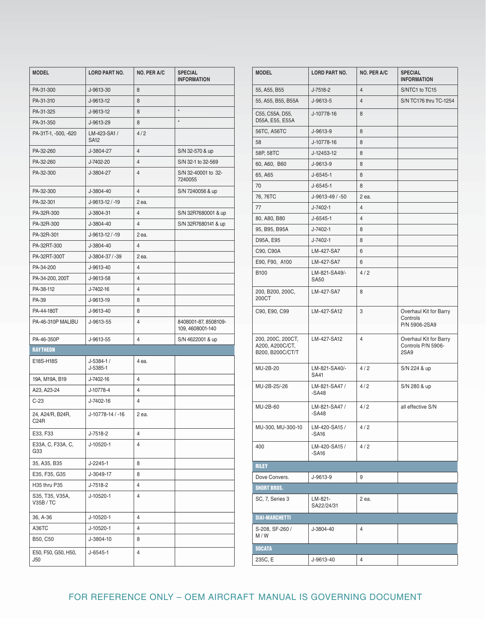| <b>MODEL</b>                 | <b>LORD PART NO.</b>        | <b>NO. PER A/C</b> | <b>SPECIAL</b><br><b>INFORMATION</b>     |
|------------------------------|-----------------------------|--------------------|------------------------------------------|
| PA-31-300                    | J-9613-30                   | 8                  |                                          |
| PA-31-310                    | J-9613-12                   | 8                  |                                          |
| PA-31-325                    | J-9613-12                   | 8                  | $\star$                                  |
| PA-31-350                    | J-9613-29                   | 8                  | $\star$                                  |
| PA-31T-1, -500, -620         | LM-423-SA1 /<br><b>SA12</b> | 4/2                |                                          |
| PA-32-260                    | J-3804-27                   | $\overline{4}$     | S/N 32-570 & up                          |
| PA-32-260                    | J-7402-20                   | 4                  | S/N 32-1 to 32-569                       |
| PA-32-300                    | J-3804-27                   | 4                  | S/N 32-40001 to 32-<br>7240055           |
| PA-32-300                    | J-3804-40                   | $\overline{4}$     | S/N 7240056 & up                         |
| PA-32-301                    | J-9613-12 / -19             | 2 ea.              |                                          |
| PA-32R-300                   | J-3804-31                   | $\overline{4}$     | S/N 32R7680001 & up                      |
| PA-32R-300                   | J-3804-40                   | $\overline{4}$     | S/N 32R7680141 & up                      |
| PA-32R-301                   | J-9613-12 / -19             | 2 ea.              |                                          |
| PA-32RT-300                  | J-3804-40                   | 4                  |                                          |
| PA-32RT-300T                 | J-3804-37 / -39             | 2 ea.              |                                          |
| PA-34-200                    | J-9613-40                   | 4                  |                                          |
| PA-34-200, 200T              | J-9613-58                   | 4                  |                                          |
| PA-38-112                    | J-7402-16                   | $\overline{4}$     |                                          |
| PA-39                        | J-9613-19                   | 8                  |                                          |
| PA-44-180T                   | J-9613-40                   | 8                  |                                          |
| PA-46-310P MALIBU            | J-9613-55                   | $\overline{4}$     | 8408001-87, 8508109-<br>109, 4608001-140 |
| PA-46-350P                   | J-9613-55                   | 4                  | S/N 4622001 & up                         |
| <b>RAYTHEON</b>              |                             |                    |                                          |
| E18S-H18S                    | $J-5384-1/$<br>$J-5385-1$   | 4 ea.              |                                          |
| 19A, M19A, B19               | J-7402-16                   | $\overline{4}$     |                                          |
| A23, A23-24                  | J-10778-4                   | 4                  |                                          |
| $C-23$                       | J-7402-16                   | 4                  |                                          |
| 24, A24/R, B24R,<br>C24R     | J-10778-14 / -16            | 2 ea.              |                                          |
| E33, F33                     | J-7518-2                    | 4                  |                                          |
| E33A, C, F33A, C,<br>G33     | J-10520-1                   | 4                  |                                          |
| 35, A35, B35                 | J-2245-1                    | 8                  |                                          |
| E35, F35, G35                | J-3049-17                   | 8                  |                                          |
| H35 thru P35                 | J-7518-2                    | 4                  |                                          |
| S35, T35, V35A,<br>V35B / TC | J-10520-1                   | 4                  |                                          |
| 36, A-36                     | J-10520-1                   | 4                  |                                          |
| A36TC                        | J-10520-1                   | 4                  |                                          |
| B50, C50                     | J-3804-10                   | 8                  |                                          |
| E50, F50, G50, H50,          | $J - 6545 - 1$              | 4                  |                                          |
| J50                          |                             |                    |                                          |

| <b>MODEL</b>                                             | <b>LORD PART NO.</b>         | <b>NO. PER A/C</b> | <b>SPECIAL</b><br><b>INFORMATION</b>                 |
|----------------------------------------------------------|------------------------------|--------------------|------------------------------------------------------|
| 55, A55, B55                                             | $J - 7518 - 2$               | $\overline{4}$     | S/NTC1 to TC15                                       |
| 55, A55, B55, B55A                                       | J-9613-5                     | $\overline{4}$     | S/N TC176 thru TC-1254                               |
| C55, C55A, D55,<br>D55A, E55, E55A                       | J-10778-16                   | 8                  |                                                      |
| 56TC, A56TC                                              | J-9613-9                     | 8                  |                                                      |
| 58                                                       | J-10778-16                   | 8                  |                                                      |
| 58P, 58TC                                                | J-12453-12                   | 8                  |                                                      |
| 60, A60, B60                                             | J-9613-9                     | 8                  |                                                      |
| 65, A65                                                  | $J - 6545 - 1$               | 8                  |                                                      |
| 70                                                       | $J - 6545 - 1$               | 8                  |                                                      |
| 76, 76TC                                                 | J-9613-49 / -50              | 2 ea.              |                                                      |
| 77                                                       | J-7402-1                     | 4                  |                                                      |
| 80, A80, B80                                             | $J - 6545 - 1$               | $\overline{4}$     |                                                      |
| 95, B95, B95A                                            | $J - 7402 - 1$               | 8                  |                                                      |
| D95A, E95                                                | J-7402-1                     | 8                  |                                                      |
| C90, C90A                                                | LM-427-SA7                   | 6                  |                                                      |
| E90, F90, A100                                           | LM-427-SA7                   | 6                  |                                                      |
| <b>B100</b>                                              | LM-821-SA49/-<br><b>SA50</b> | 4/2                |                                                      |
| 200, B200, 200C,<br>200CT                                | LM-427-SA7                   | 8                  |                                                      |
| C90, E90, C99                                            | LM-427-SA12                  | 3                  | Overhaul Kit for Barry<br>Controls<br>P/N 5906-2SA9  |
| 200, 200C, 200CT,<br>A200, A200C/CT,<br>B200, B200C/CT/T | LM-427-SA12                  | 4                  | Overhaul Kit for Barry<br>Controls P/N 5906-<br>2SA9 |
| MU-2B-20                                                 | LM-821-SA40/-<br>SA41        | 4/2                | S/N 224 & up                                         |
| MU-2B-25/-26                                             | LM-821-SA47 /<br>$-SA48$     | 4/2                | S/N 280 & up                                         |
| MU-2B-60                                                 | LM-821-SA47 /<br>$-SA48$     | 4/2                | all effective S/N                                    |
| MU-300, MU-300-10                                        | LM-420-SA15 /<br>-SA16       | 4/2                |                                                      |
| 400                                                      | LM-420-SA15 /<br>$-SA16$     | 4/2                |                                                      |
| <b>RILEY</b>                                             |                              |                    |                                                      |
| Dove Convers.                                            | J-9613-9                     | 9                  |                                                      |
| <b>SHORT BROS.</b>                                       |                              |                    |                                                      |
| SC, 7, Series 3                                          | LM-821-<br>SA22/24/31        | 2 ea.              |                                                      |
| <b>SIAI-MARCHETTI</b>                                    |                              |                    |                                                      |
| S-208, SF-260 /<br>M / W                                 | J-3804-40                    | 4                  |                                                      |
| <b>SOCATA</b>                                            |                              |                    |                                                      |
| 235C, E                                                  | J-9613-40                    | 4                  |                                                      |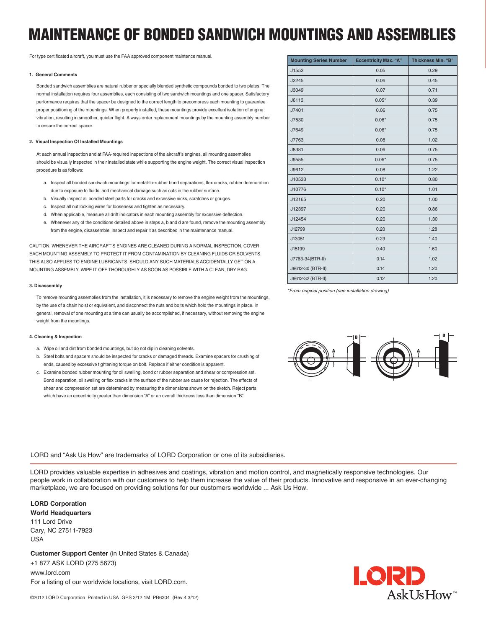# **MAINTENANCE OF BONDED SANDWICH MOUNTINGS AND ASSEMBLIES**

For type certificated aircraft, you must use the FAA approved component maintence manual.

### **1. General Comments**

Bonded sandwich assemblies are natural rubber or specially blended synthetic compounds bonded to two plates. The normal installation requires four assemblies, each consisting of two sandwich mountings and one spacer. Satisfactory performance requires that the spacer be designed to the correct length to precompress each mounting to guarantee proper positioning of the mountings. When properly installed, these mountings provide excellent isolation of engine vibration, resulting in smoother, quieter flight. Always order replacement mountings by the mounting assembly number to ensure the correct spacer.

### **2. Visual Inspection Of Installed Mountings**

At each annual inspection and at FAA-required inspections of the aircraft's engines, all mounting assemblies should be visually inspected in their installed state while supporting the engine weight. The correct visual inspection procedure is as follows:

- a. Inspect all bonded sandwich mountings for metal-to-rubber bond separations, flex cracks, rubber deterioration due to exposure to fluids, and mechanical damage such as cuts in the rubber surface.
- b. Visually inspect all bonded steel parts for cracks and excessive nicks, scratches or gouges.
- c. Inspect all nut locking wires for looseness and tighten as necessary.
- d. When applicable, measure all drift indicators in each mounting assembly for excessive deflection.
- e. Whenever any of the conditions detailed above in steps a, b and d are found, remove the mounting assembly from the engine, disassemble, inspect and repair it as described in the maintenance manual.

CAUTION: WHENEVER THE AIRCRAFT'S ENGINES ARE CLEANED DURING A NORMAL INSPECTION, COVER EACH MOUNTING ASSEMBLY TO PROTECT IT FROM CONTAMINATION BY CLEANING FLUIDS OR SOLVENTS. THIS ALSO APPLIES TO ENGINE LUBRICANTS. SHOULD ANY SUCH MATERIALS ACCIDENTALLY GET ON A MOUNTING ASSEMBLY, WIPE IT OFF THOROUGHLY AS SOON AS POSSIBLE WITH A CLEAN, DRY RAG.

#### **3. Disassembly**

To remove mounting assemblies from the installation, it is necessary to remove the engine weight from the mountings, by the use of a chain hoist or equivalent, and disconnect the nuts and bolts which hold the mountings in place. In general, removal of one mounting at a time can usually be accomplished, if necessary, without removing the engine weight from the mountings.

### **4. Cleaning & Inspection**

- a. Wipe oil and dirt from bonded mountings, but do not dip in cleaning solvents.
- b. Steel bolts and spacers should be inspected for cracks or damaged threads. Examine spacers for crushing of ends, caused by excessive tightening torque on bolt. Replace if either condition is apparent.
- c. Examine bonded rubber mounting for oil swelling, bond or rubber separation and shear or compression set. Bond separation, oil swelling or flex cracks in the surface of the rubber are cause for rejection. The effects of shear and compression set are determined by measuring the dimensions shown on the sketch. Reject parts which have an eccentricity greater than dimension "A" or an overall thickness less than dimension "B".

LORD and "Ask Us How" are trademarks of LORD Corporation or one of its subsidiaries.

LORD provides valuable expertise in adhesives and coatings, vibration and motion control, and magnetically responsive technologies. Our people work in collaboration with our customers to help them increase the value of their products. Innovative and responsive in an ever-changing marketplace, we are focused on providing solutions for our customers worldwide ... Ask Us How.

**LORD Corporation World Headquarters**

111 Lord Drive Cary, NC 27511-7923 USA

**Customer Support Center** (in United States & Canada) +1 877 ASK LORD (275 5673) www.lord.com For a listing of our worldwide locations, visit LORD.com.

| <b>Mounting Series Number</b> | <b>Eccentricity Max. "A"</b> | Thickness Min. "B" |
|-------------------------------|------------------------------|--------------------|
| J1552                         | 0.05                         | 0.29               |
| J2245                         | 0.06                         | 0.45               |
| J3049                         | 0.07                         | 0.71               |
| J6113                         | $0.05*$                      | 0.39               |
| J7401                         | 0.06                         | 0.75               |
| J7530                         | $0.06*$                      | 0.75               |
| J7649                         | $0.06*$                      | 0.75               |
| J7763                         | 0.08                         | 1.02               |
| J8381                         | 0.06                         | 0.75               |
| J9555                         | $0.06*$                      | 0.75               |
| J9612                         | 0.08                         | 1.22               |
| J10533                        | $0.10*$                      | 0.80               |
| J10776                        | $0.10*$                      | 1.01               |
| J12165                        | 0.20                         | 1.00               |
| J12397                        | 0.20                         | 0.86               |
| J12454                        | 0.20                         | 1.30               |
| J12799                        | 0.20                         | 1.28               |
| J13051                        | 0.23                         | 1.40               |
| J15199                        | 0.40                         | 1.60               |
| J7763-34(BTR-II)              | 0.14                         | 1.02               |
| J9612-30 (BTR-II)             | 0.14                         | 1.20               |
| J9612-32 (BTR-II)             | 0.12                         | 1.20               |

*\*From original position (see installation drawing)*



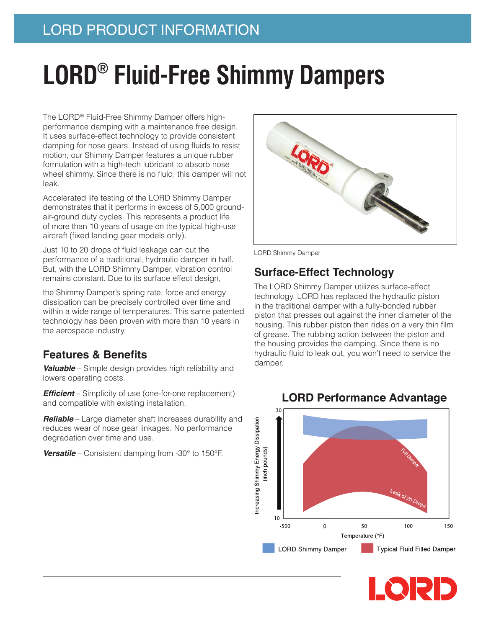## LORD PRODUCT INFORMATION

# **LORD® Fluid-Free Shimmy Dampers**

The LORD® Fluid-Free Shimmy Damper offers highperformance damping with a maintenance free design. It uses surface-effect technology to provide consistent damping for nose gears. Instead of using fluids to resist motion, our Shimmy Damper features a unique rubber formulation with a high-tech lubricant to absorb nose wheel shimmy. Since there is no fluid, this damper will not leak.

Accelerated life testing of the LORD Shimmy Damper demonstrates that it performs in excess of 5,000 groundair-ground duty cycles. This represents a product life of more than 10 years of usage on the typical high-use aircraft (fixed landing gear models only).

Just 10 to 20 drops of fluid leakage can cut the performance of a traditional, hydraulic damper in half. But, with the LORD Shimmy Damper, vibration control remains constant. Due to its surface effect design,

the Shimmy Damper's spring rate, force and energy dissipation can be precisely controlled over time and within a wide range of temperatures. This same patented technology has been proven with more than 10 years in the aerospace industry.

## **Features & Benefits**

*Valuable* – Simple design provides high reliability and lowers operating costs.

**Efficient** – Simplicity of use (one-for-one replacement) and compatible with existing installation.

**Reliable** – Large diameter shaft increases durability and reduces wear of nose gear linkages. No performance degradation over time and use.

**Versatile** – Consistent damping from -30° to 150°F.



LORD Shimmy Damper

## **Surface-Effect Technology**

The LORD Shimmy Damper utilizes surface-effect technology. LORD has replaced the hydraulic piston in the traditional damper with a fully-bonded rubber piston that presses out against the inner diameter of the housing. This rubber piston then rides on a very thin film of grease. The rubbing action between the piston and the housing provides the damping. Since there is no hydraulic fluid to leak out, you won't need to service the damper.



## **LORD Performance Advantage**